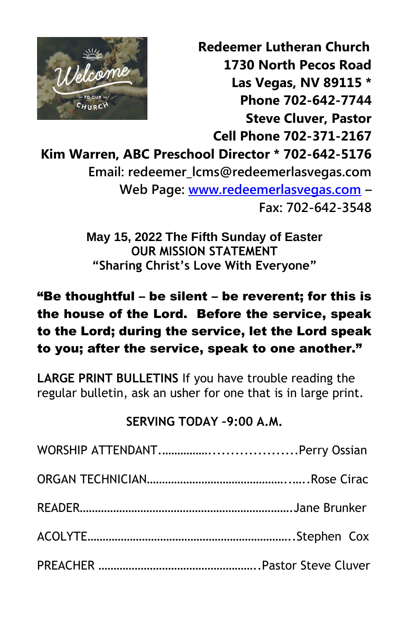

 **Redeemer Lutheran Church 1730 North Pecos Road Las Vegas, NV 89115 \* Phone 702-642-7744 Steve Cluver, Pastor Cell Phone 702-371-2167 Kim Warren, ABC Preschool Director \* 702-642-5176 Email: redeemer\_lcms@redeemerlasvegas.com Web Page: [www.redeemerlasvegas.com](http://www.redeemerlasvegas.com/) –**

**Fax: 702-642-3548**

**May 15, 2022 The Fifth Sunday of Easter OUR MISSION STATEMENT "Sharing Christ's Love With Everyone"**

### "Be thoughtful – be silent – be reverent; for this is the house of the Lord. Before the service, speak to the Lord; during the service, let the Lord speak to you; after the service, speak to one another."

**LARGE PRINT BULLETINS** If you have trouble reading the regular bulletin, ask an usher for one that is in large print.

### **SERVING TODAY –9:00 A.M.**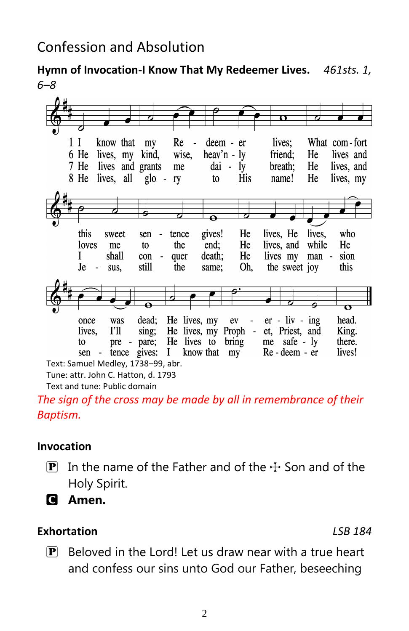**Hymn of Invocation-I Know That My Redeemer Lives.** *461sts. 1, 6–8*



Tune: attr. John C. Hatton, d. 1793

Text and tune: Public domain

*The sign of the cross may be made by all in remembrance of their Baptism.*

#### **Invocation**

- **P** In the name of the Father and of the  $\pm$  Son and of the Holy Spirit.
- C **Amen.**

#### **Exhortation** *LSB 184*

 $\mathbf{P}$  Beloved in the Lord! Let us draw near with a true heart and confess our sins unto God our Father, beseeching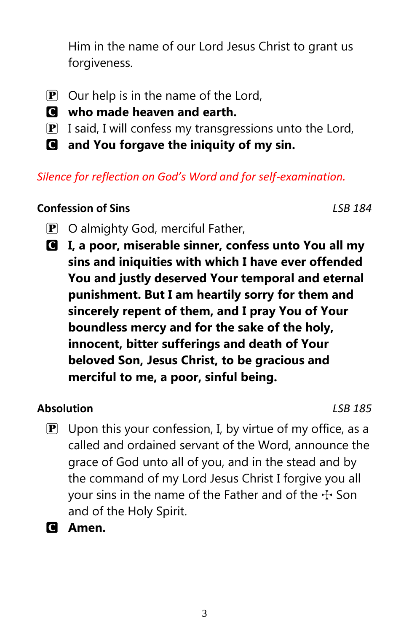Him in the name of our Lord Jesus Christ to grant us forgiveness.

- $\mathbf{P}$  Our help is in the name of the Lord,
- C **who made heaven and earth.**
- $\boxed{\mathbf{P}}$  I said, I will confess my transgressions unto the Lord,
- C **and You forgave the iniquity of my sin.**

### *Silence for reflection on God's Word and for self-examination.*

### **Confession of Sins** *LSB 184*

- $\mathbf{P}$  O almighty God, merciful Father,
- C **I, a poor, miserable sinner, confess unto You all my sins and iniquities with which I have ever offended You and justly deserved Your temporal and eternal punishment. But I am heartily sorry for them and sincerely repent of them, and I pray You of Your boundless mercy and for the sake of the holy, innocent, bitter sufferings and death of Your beloved Son, Jesus Christ, to be gracious and merciful to me, a poor, sinful being.**

### **Absolution** *LSB 185*

- $\mathbf{P}$  Upon this your confession, I, by virtue of my office, as a called and ordained servant of the Word, announce the grace of God unto all of you, and in the stead and by the command of my Lord Jesus Christ I forgive you all your sins in the name of the Father and of the  $\pm$  Son and of the Holy Spirit.
- C **Amen.**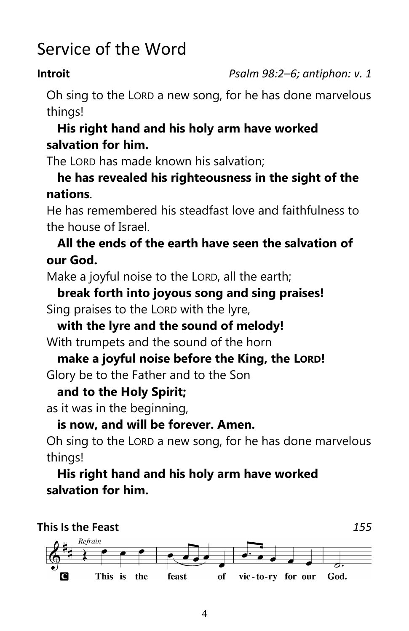## Service of the Word

**Introit** *Psalm 98:2–6; antiphon: v. 1*

Oh sing to the LORD a new song, for he has done marvelous things!

### **His right hand and his holy arm have worked salvation for him.**

The LORD has made known his salvation;

### **he has revealed his righteousness in the sight of the nations**.

He has remembered his steadfast love and faithfulness to the house of Israel.

### **All the ends of the earth have seen the salvation of our God.**

Make a joyful noise to the LORD, all the earth;

### **break forth into joyous song and sing praises!** Sing praises to the LORD with the lyre,

## **with the lyre and the sound of melody!**

With trumpets and the sound of the horn

## **make a joyful noise before the King, the LORD!**

Glory be to the Father and to the Son

### **and to the Holy Spirit;**

as it was in the beginning,

### **is now, and will be forever. Amen.**

Oh sing to the LORD a new song, for he has done marvelous things!

**His right hand and his holy arm have worked salvation for him.**

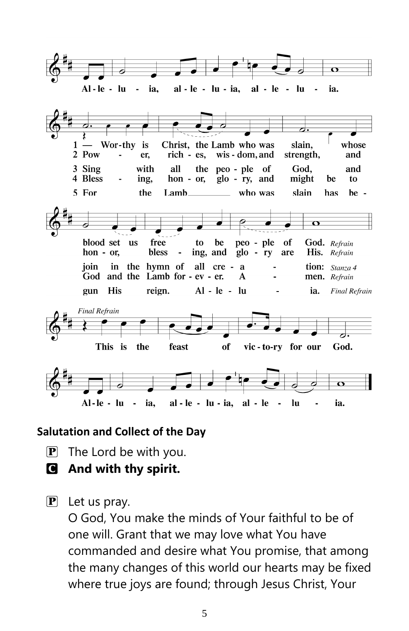

#### **Salutation and Collect of the Day**

- $\mathbf{P}$  The Lord be with you.
- C **And with thy spirit.**
- $\left[\mathbf{P}\right]$  Let us pray.

O God, You make the minds of Your faithful to be of one will. Grant that we may love what You have commanded and desire what You promise, that among the many changes of this world our hearts may be fixed where true joys are found; through Jesus Christ, Your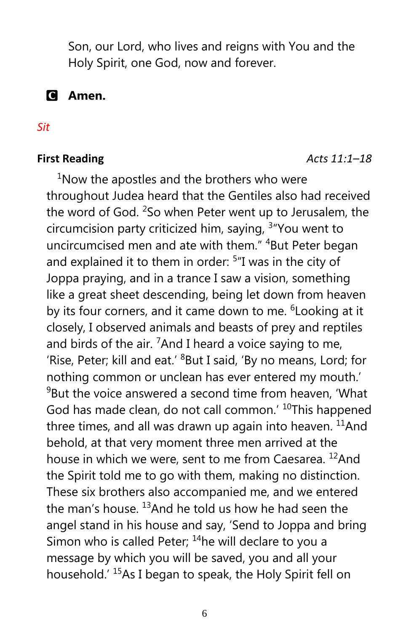Son, our Lord, who lives and reigns with You and the Holy Spirit, one God, now and forever.

C **Amen.**

#### *Sit*

#### **First Reading** *Acts 11:1–18*

 $1$ Now the apostles and the brothers who were throughout Judea heard that the Gentiles also had received the word of God.  $250$  when Peter went up to Jerusalem, the circumcision party criticized him, saying, <sup>3</sup> "You went to uncircumcised men and ate with them." <sup>4</sup>But Peter began and explained it to them in order: <sup>5</sup>"I was in the city of Joppa praying, and in a trance I saw a vision, something like a great sheet descending, being let down from heaven by its four corners, and it came down to me. <sup>6</sup> Looking at it closely, I observed animals and beasts of prey and reptiles and birds of the air.  $7$ And I heard a voice saying to me, 'Rise, Peter; kill and eat.' <sup>8</sup>But I said, 'By no means, Lord; for nothing common or unclean has ever entered my mouth.'  $9B$ ut the voice answered a second time from heaven, 'What God has made clean, do not call common.' <sup>10</sup>This happened three times, and all was drawn up again into heaven.  $11$ And behold, at that very moment three men arrived at the house in which we were, sent to me from Caesarea. <sup>12</sup>And the Spirit told me to go with them, making no distinction. These six brothers also accompanied me, and we entered the man's house.  $13$ And he told us how he had seen the angel stand in his house and say, 'Send to Joppa and bring Simon who is called Peter;  $14$ he will declare to you a message by which you will be saved, you and all your household.' <sup>15</sup>As I began to speak, the Holy Spirit fell on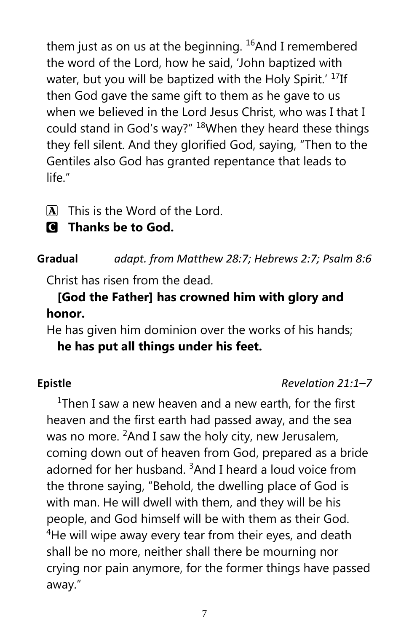them just as on us at the beginning.  $^{16}$ And I remembered the word of the Lord, how he said, 'John baptized with water, but you will be baptized with the Holy Spirit.' <sup>17</sup>If then God gave the same gift to them as he gave to us when we believed in the Lord Jesus Christ, who was I that I could stand in God's way?" <sup>18</sup>When they heard these things they fell silent. And they glorified God, saying, "Then to the Gentiles also God has granted repentance that leads to life."

- $\overline{A}$  This is the Word of the Lord.
- C **Thanks be to God.**

### **Gradual** *adapt. from Matthew 28:7; Hebrews 2:7; Psalm 8:6*

Christ has risen from the dead.

### **[God the Father] has crowned him with glory and honor.**

He has given him dominion over the works of his hands; **he has put all things under his feet.**

### **Epistle** *Revelation 21:1–7*

<sup>1</sup>Then I saw a new heaven and a new earth, for the first heaven and the first earth had passed away, and the sea was no more.  ${}^{2}$ And I saw the holy city, new Jerusalem, coming down out of heaven from God, prepared as a bride adorned for her husband.  $3$ And I heard a loud voice from the throne saying, "Behold, the dwelling place of God is with man. He will dwell with them, and they will be his people, and God himself will be with them as their God.  $4$ He will wipe away every tear from their eyes, and death shall be no more, neither shall there be mourning nor crying nor pain anymore, for the former things have passed away."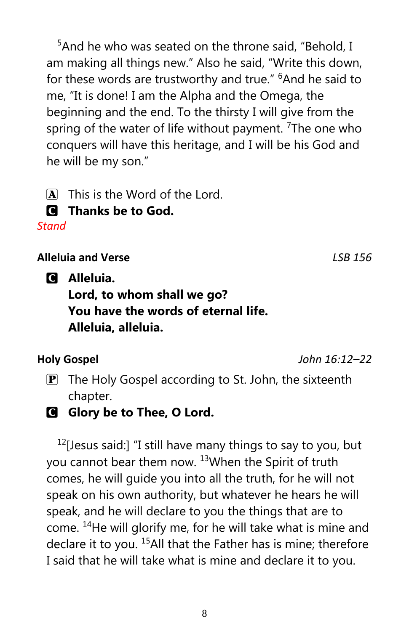<sup>5</sup>And he who was seated on the throne said, "Behold, I am making all things new." Also he said, "Write this down, for these words are trustworthy and true." <sup>6</sup>And he said to me, "It is done! I am the Alpha and the Omega, the beginning and the end. To the thirsty I will give from the spring of the water of life without payment. <sup>7</sup>The one who conquers will have this heritage, and I will be his God and he will be my son."

- $\overline{A}$  This is the Word of the Lord.
- C **Thanks be to God.**

*Stand*

**Alleluia and Verse** *LSB 156*

C **Alleluia.**

### **Lord, to whom shall we go? You have the words of eternal life. Alleluia, alleluia.**

**Holy Gospel** *John 16:12–22*

- $\mathbf{P}$  The Holy Gospel according to St. John, the sixteenth chapter.
- C **Glory be to Thee, O Lord.**

 $12$ [Jesus said:] "I still have many things to say to you, but you cannot bear them now. <sup>13</sup>When the Spirit of truth comes, he will guide you into all the truth, for he will not speak on his own authority, but whatever he hears he will speak, and he will declare to you the things that are to come. <sup>14</sup>He will glorify me, for he will take what is mine and declare it to you.<sup>15</sup>All that the Father has is mine; therefore I said that he will take what is mine and declare it to you.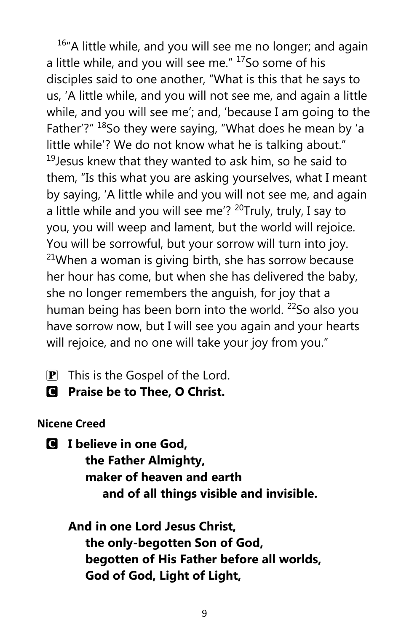$16<sup>4</sup>$ A little while, and you will see me no longer; and again a little while, and you will see me." <sup>17</sup>So some of his disciples said to one another, "What is this that he says to us, 'A little while, and you will not see me, and again a little while, and you will see me'; and, 'because I am going to the Father'?" <sup>18</sup>So they were saying, "What does he mean by 'a little while'? We do not know what he is talking about."  $19$ Jesus knew that they wanted to ask him, so he said to them, "Is this what you are asking yourselves, what I meant by saying, 'A little while and you will not see me, and again a little while and you will see me'? <sup>20</sup>Truly, truly, I say to you, you will weep and lament, but the world will rejoice. You will be sorrowful, but your sorrow will turn into joy.  $21$ When a woman is giving birth, she has sorrow because her hour has come, but when she has delivered the baby, she no longer remembers the anguish, for joy that a human being has been born into the world.  $^{22}$ So also you have sorrow now, but I will see you again and your hearts will rejoice, and no one will take your joy from you."

- $\mathbf{P}$  This is the Gospel of the Lord.
- C **Praise be to Thee, O Christ.**

### **Nicene Creed**

C **I believe in one God, the Father Almighty, maker of heaven and earth and of all things visible and invisible.**

**And in one Lord Jesus Christ, the only-begotten Son of God, begotten of His Father before all worlds, God of God, Light of Light,**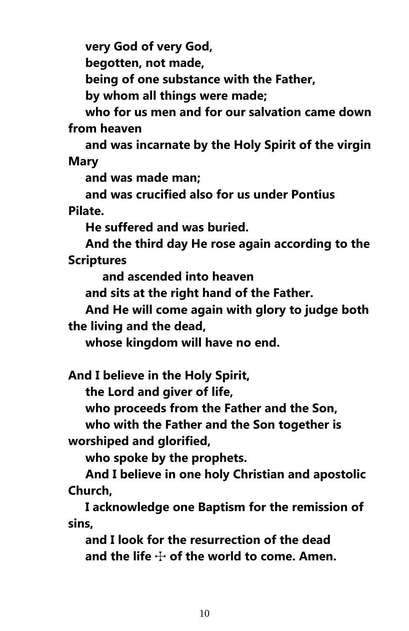**very God of very God,**

 **begotten, not made,**

 **being of one substance with the Father,**

 **by whom all things were made;**

 **who for us men and for our salvation came down from heaven**

 **and was incarnate by the Holy Spirit of the virgin Mary**

 **and was made man;**

 **and was crucified also for us under Pontius Pilate.**

 **He suffered and was buried.**

 **And the third day He rose again according to the Scriptures**

 **and ascended into heaven**

 **and sits at the right hand of the Father.**

 **And He will come again with glory to judge both the living and the dead,**

 **whose kingdom will have no end.**

**And I believe in the Holy Spirit,**

 **the Lord and giver of life,**

 **who proceeds from the Father and the Son,**

 **who with the Father and the Son together is worshiped and glorified,**

 **who spoke by the prophets.**

 **And I believe in one holy Christian and apostolic Church,**

 **I acknowledge one Baptism for the remission of sins,**

 **and I look for the resurrection of the dead** and the life  $\div$  of the world to come. Amen.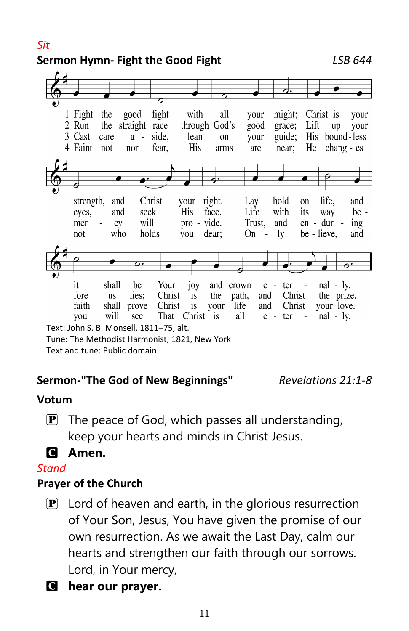*Sit*

### **Sermon Hymn- Fight the Good Fight** *LSB 644*



Text and tune: Public domain

### **Sermon-"The God of New Beginnings"** *Revelations 21:1-8*

#### **Votum**

**P** The peace of God, which passes all understanding, keep your hearts and minds in Christ Jesus.

### C **Amen.**

#### *Stand*

### **Prayer of the Church**

- $\mathbf{P}$  Lord of heaven and earth, in the glorious resurrection of Your Son, Jesus, You have given the promise of our own resurrection. As we await the Last Day, calm our hearts and strengthen our faith through our sorrows. Lord, in Your mercy,
- C **hear our prayer.**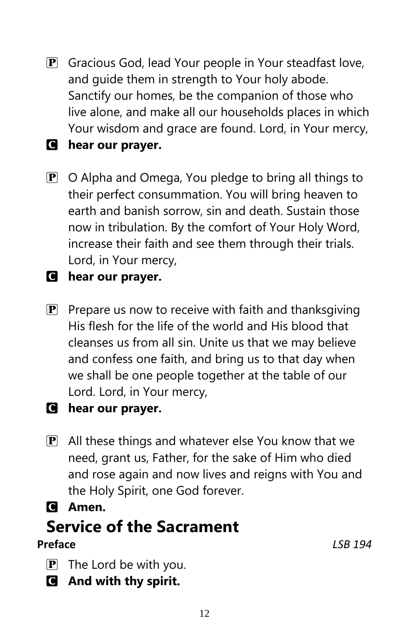**P** Gracious God, lead Your people in Your steadfast love, and guide them in strength to Your holy abode. Sanctify our homes, be the companion of those who live alone, and make all our households places in which Your wisdom and grace are found. Lord, in Your mercy,

### C **hear our prayer.**

 $\mathbf{P}$  O Alpha and Omega, You pledge to bring all things to their perfect consummation. You will bring heaven to earth and banish sorrow, sin and death. Sustain those now in tribulation. By the comfort of Your Holy Word, increase their faith and see them through their trials. Lord, in Your mercy,

### C **hear our prayer.**

**P** Prepare us now to receive with faith and thanksgiving His flesh for the life of the world and His blood that cleanses us from all sin. Unite us that we may believe and confess one faith, and bring us to that day when we shall be one people together at the table of our Lord. Lord, in Your mercy,

### C **hear our prayer.**

- $\mathbf{P}$  All these things and whatever else You know that we need, grant us, Father, for the sake of Him who died and rose again and now lives and reigns with You and the Holy Spirit, one God forever.
- C **Amen.**

## **Service of the Sacrament**

### **Preface** *LSB 194*

- $\mathbf{P}$  The Lord be with you.
- C **And with thy spirit.**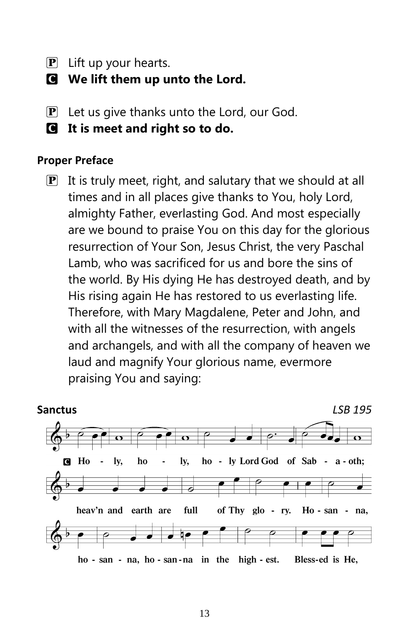- $\mathbf{P}$  Lift up your hearts.
- C **We lift them up unto the Lord.**
- $\left| \mathbf{P} \right|$  Let us give thanks unto the Lord, our God.
- C **It is meet and right so to do.**

#### **Proper Preface**

 $\mathbf{P}$  It is truly meet, right, and salutary that we should at all times and in all places give thanks to You, holy Lord, almighty Father, everlasting God. And most especially are we bound to praise You on this day for the glorious resurrection of Your Son, Jesus Christ, the very Paschal Lamb, who was sacrificed for us and bore the sins of the world. By His dying He has destroyed death, and by His rising again He has restored to us everlasting life. Therefore, with Mary Magdalene, Peter and John, and with all the witnesses of the resurrection, with angels and archangels, and with all the company of heaven we laud and magnify Your glorious name, evermore praising You and saying:

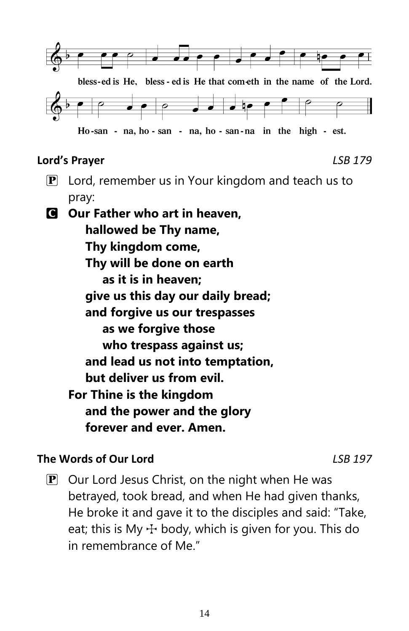

#### **Lord's Prayer** *LSB 179*

 $\mathbf{P}$  Lord, remember us in Your kingdom and teach us to pray:

C **Our Father who art in heaven, hallowed be Thy name, Thy kingdom come, Thy will be done on earth as it is in heaven; give us this day our daily bread; and forgive us our trespasses as we forgive those who trespass against us; and lead us not into temptation, but deliver us from evil. For Thine is the kingdom and the power and the glory forever and ever. Amen.**

### **The Words of Our Lord** *LSB 197*

 $\mathbf{P}$  Our Lord Jesus Christ, on the night when He was betrayed, took bread, and when He had given thanks, He broke it and gave it to the disciples and said: "Take, eat; this is My  $\div$  body, which is given for you. This do in remembrance of Me."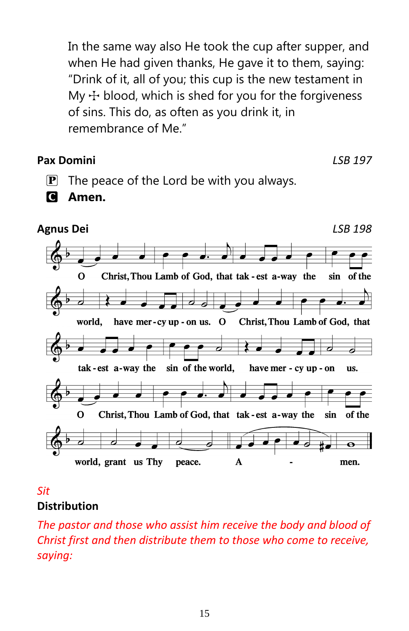In the same way also He took the cup after supper, and when He had given thanks, He gave it to them, saying: "Drink of it, all of you; this cup is the new testament in My  $\pm$  blood, which is shed for you for the forgiveness of sins. This do, as often as you drink it, in remembrance of Me."

#### **Pax Domini** *LSB 197*

- $\mathbf{P}$  The peace of the Lord be with you always.
- C **Amen.**



#### *Sit* **Distribution**

*The pastor and those who assist him receive the body and blood of Christ first and then distribute them to those who come to receive, saying:*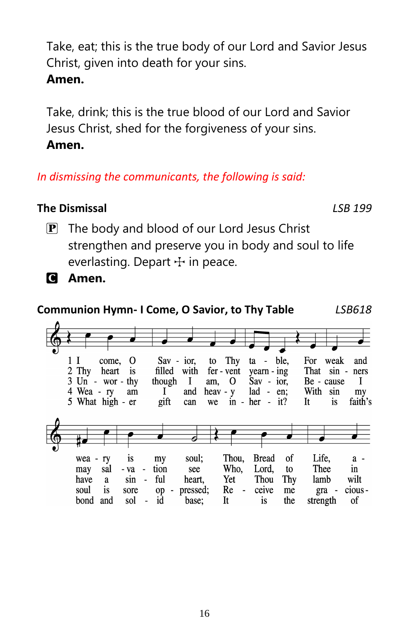Take, eat; this is the true body of our Lord and Savior Jesus Christ, given into death for your sins. **Amen.**

Take, drink; this is the true blood of our Lord and Savior Jesus Christ, shed for the forgiveness of your sins. **Amen.**

### *In dismissing the communicants, the following is said:*

### **The Dismissal** *LSB 199*

 $\mathbf{P}$  The body and blood of our Lord Jesus Christ strengthen and preserve you in body and soul to life everlasting. Depart  $+$  in peace.



## **Communion Hymn- I Come, O Savior, to Thy Table** *LSB618*

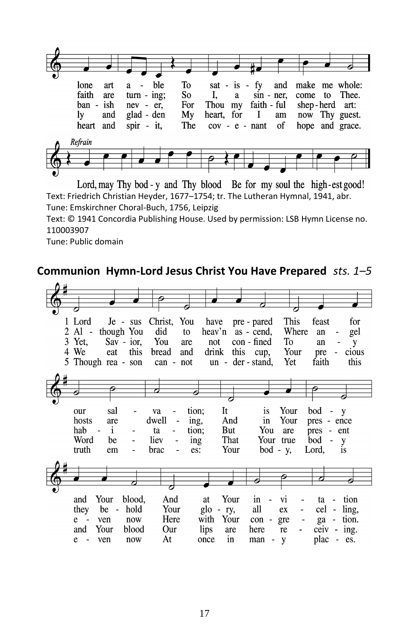

Lord, may Thy bod - y and Thy blood Be for my soul the high-est good! Text: Friedrich Christian Heyder, 1677–1754; tr. The Lutheran Hymnal, 1941, abr. Tune: Emskirchner Choral-Buch, 1756, Leipzig

Text: © 1941 Concordia Publishing House. Used by permission: LSB Hymn License no. 110003907

Tune: Public domain

#### **Communion Hymn-Lord Jesus Christ You Have Prepared** *sts. 1–5*

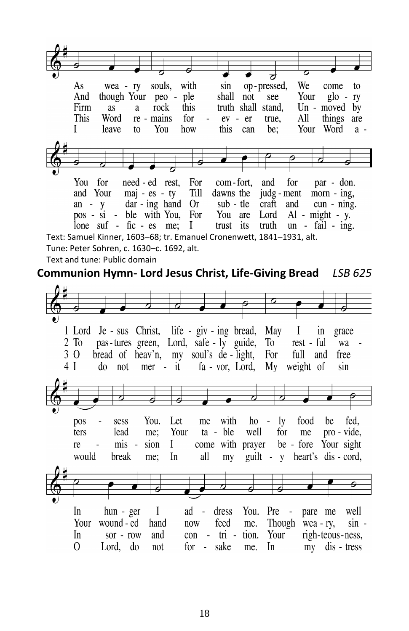ಸ op-pressed, We As wea - ry souls, with sin come to And though Your peo - ple shall  $\overline{not}$ see Your  $g|_0 - rv$ Firm this truth shall stand. Un - moved by as a rock This Word re - mains for  $ev - er$ true. All things are Your Word  $\mathbf{I}$ leave You how this can be:  $t_0$  $a -$ You for need - ed rest. com-fort. and for For par - don. and Your  $maj - es - ty$ Till dawns the judg - ment  $mor - ing$ , an -  $y$  $dar - ing$  hand  $Or$ sub - tle craft and cun - ning. pos - si - ble with You, For You are Lord  $Al - might - v.$ lone suf - fic -  $es$  me;  $\mathbf{I}$ trust its truth  $un$  - fail - ing. Text: Samuel Kinner, 1603–68; tr. Emanuel Cronenwett, 1841–1931, alt. Tune: Peter Sohren, c. 1630–c. 1692, alt. Text and tune: Public domain **Communion Hymn- Lord Jesus Christ, Life-Giving Bread** *LSB 625*1 Lord Je - sus Christ, life - giv - ing bread, May T  $in$ grace  $2$  To pas-tures green, Lord, safe - ly guide, To rest - ful wa bread of heav'n, my soul's de light, 3 O For full and free  $4<sub>1</sub>$ do not  $mer - it$ fa - vor. Lord. My weight of sin Let pos sess You. me with  $ho - ly$ food be fed. lead me: Your ta - ble well for me pro - vide. ters re  $\text{mis}$ sion L come with prayer be - fore Your sight would break In all guilt - v heart's dis - cord. me: mv I  $ad -$ In  $hun - ger$ dress You.  $Pre$ pare me well Your wound - ed hand now feed me. Though wea - ry,  $sin -$ Your In sor - row and  $con - tri$ tion. righ-teous-ness,  $\Omega$ Lord. do for - sake In my dis - tress not me.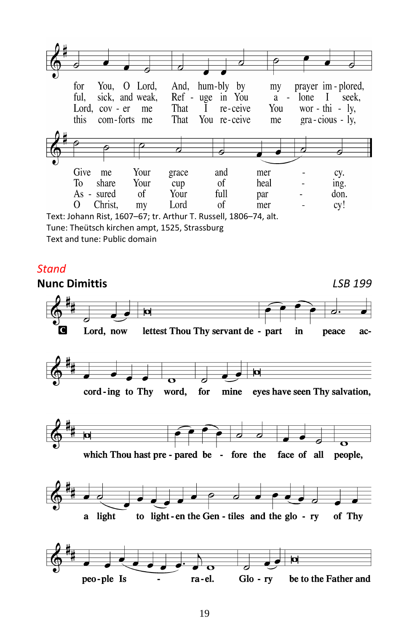

Text: Johann Rist, 1607–67; tr. Arthur T. Russell, 1806–74, alt. Tune: Theütsch kirchen ampt, 1525, Strassburg Text and tune: Public domain

#### *Stand*

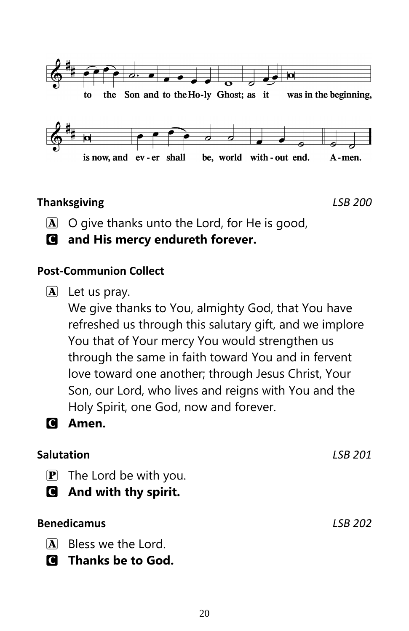

### **Thanksgiving** *LSB 200*

- $[\overline{A}]$  O give thanks unto the Lord, for He is good,
- C **and His mercy endureth forever.**

### **Post-Communion Collect**

 $\mathbf{A}$  Let us pray.

We give thanks to You, almighty God, that You have refreshed us through this salutary gift, and we implore You that of Your mercy You would strengthen us through the same in faith toward You and in fervent love toward one another; through Jesus Christ, Your Son, our Lord, who lives and reigns with You and the Holy Spirit, one God, now and forever.



### C **Amen.**

### **Salutation** *LSB 201*

- $\mathbf{P}$  The Lord be with you.
- C **And with thy spirit.**

### **Benedicamus** *LSB 202*

- A Bless we the Lord.
- C **Thanks be to God.**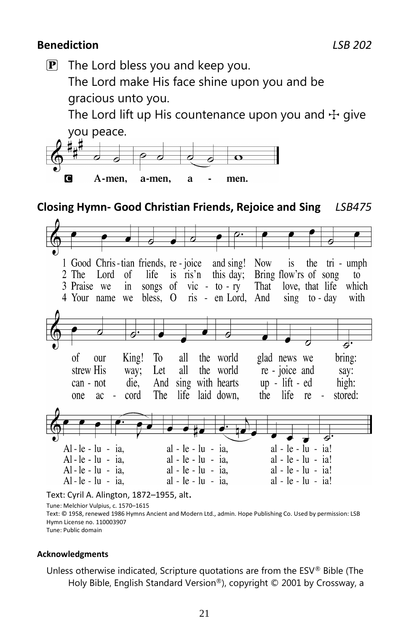#### **Benediction** *LSB 202*

 $\mathbf{P}$  The Lord bless you and keep you.

The Lord make His face shine upon you and be gracious unto you.

The Lord lift up His countenance upon you and  $\pm$  give you peace.



#### **Closing Hymn- Good Christian Friends, Rejoice and Sing** *LSB475*



#### Text: Cyril A. Alington, 1872–1955, alt.

Tune: Melchior Vulpius, c. 1570–1615

Text: © 1958, renewed 1986 Hymns Ancient and Modern Ltd., admin. Hope Publishing Co. Used by permission: LSB Hymn License no. 110003907

Tune: Public domain

#### **Acknowledgments**

Unless otherwise indicated, Scripture quotations are from the ESV® Bible (The Holy Bible, English Standard Version®), copyright © 2001 by Crossway, a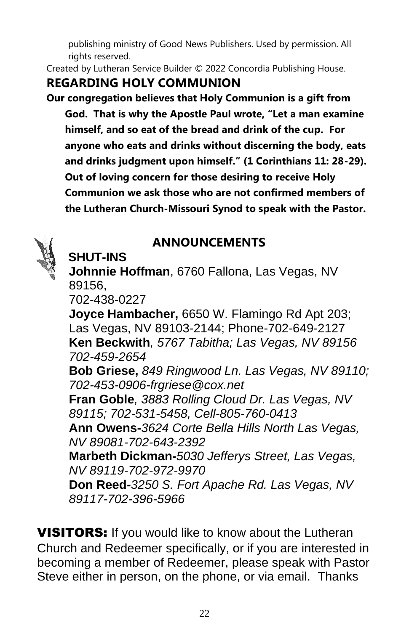publishing ministry of Good News Publishers. Used by permission. All rights reserved.

Created by Lutheran Service Builder © 2022 Concordia Publishing House.

### **REGARDING HOLY COMMUNION**

**Our congregation believes that Holy Communion is a gift from God. That is why the Apostle Paul wrote, "Let a man examine himself, and so eat of the bread and drink of the cup. For anyone who eats and drinks without discerning the body, eats and drinks judgment upon himself." (1 Corinthians 11: 28-29). Out of loving concern for those desiring to receive Holy Communion we ask those who are not confirmed members of the Lutheran Church-Missouri Synod to speak with the Pastor.** 



### **ANNOUNCEMENTS**

**Johnnie Hoffman**, 6760 Fallona, Las Vegas, NV 89156,

702-438-0227

 **SHUT-INS**

**Joyce Hambacher,** 6650 W. Flamingo Rd Apt 203; Las Vegas, NV 89103-2144; Phone-702-649-2127 **Ken Beckwith***, 5767 Tabitha; Las Vegas, NV 89156 702-459-2654* **Bob Griese,** *849 Ringwood Ln. Las Vegas, NV 89110; 702-453-0906-frgriese@cox.net* **Fran Goble***, 3883 Rolling Cloud Dr. Las Vegas, NV 89115; 702-531-5458, Cell-805-760-0413* **Ann Owens-***3624 Corte Bella Hills North Las Vegas, NV 89081-702-643-2392*

**Marbeth Dickman-***5030 Jefferys Street, Las Vegas, NV 89119-702-972-9970*

**Don Reed-***3250 S. Fort Apache Rd. Las Vegas, NV 89117-702-396-5966*

**VISITORS:** If you would like to know about the Lutheran Church and Redeemer specifically, or if you are interested in becoming a member of Redeemer, please speak with Pastor Steve either in person, on the phone, or via email. Thanks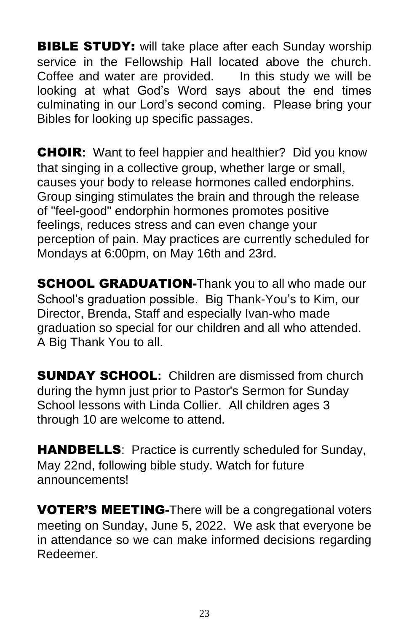**BIBLE STUDY:** will take place after each Sunday worship service in the Fellowship Hall located above the church. Coffee and water are provided. In this study we will be looking at what God's Word says about the end times culminating in our Lord's second coming. Please bring your Bibles for looking up specific passages.

CHOIR**:** Want to feel happier and healthier? Did you know that singing in a collective group, whether large or small, causes your body to release hormones called endorphins. Group singing stimulates the brain and through the release of "feel-good" endorphin hormones promotes positive feelings, reduces stress and can even change your perception of pain. May practices are currently scheduled for Mondays at 6:00pm, on May 16th and 23rd.

**SCHOOL GRADUATION-Thank you to all who made our** School's graduation possible. Big Thank-You's to Kim, our Director, Brenda, Staff and especially Ivan-who made graduation so special for our children and all who attended. A Big Thank You to all.

SUNDAY SCHOOL**:** Children are dismissed from church during the hymn just prior to Pastor's Sermon for Sunday School lessons with Linda Collier. All children ages 3 through 10 are welcome to attend.

**HANDBELLS:** Practice is currently scheduled for Sunday, May 22nd, following bible study. Watch for future announcements!

**VOTER'S MEETING-There will be a congregational voters** meeting on Sunday, June 5, 2022. We ask that everyone be in attendance so we can make informed decisions regarding Redeemer.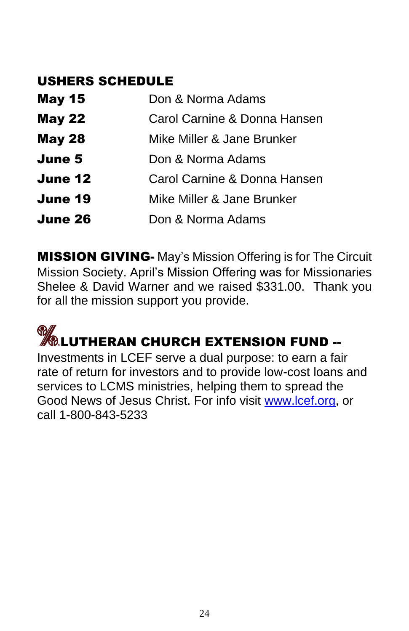### USHERS SCHEDULE

| <b>May 15</b> | Don & Norma Adams            |
|---------------|------------------------------|
| <b>May 22</b> | Carol Carnine & Donna Hansen |
| <b>May 28</b> | Mike Miller & Jane Brunker   |
| June 5        | Don & Norma Adams            |
| June 12       | Carol Carnine & Donna Hansen |
| June 19       | Mike Miller & Jane Brunker   |
| June 26       | Don & Norma Adams            |

**MISSION GIVING-** May's Mission Offering is for The Circuit Mission Society. April's Mission Offering was for Missionaries Shelee & David Warner and we raised \$331.00. Thank you for all the mission support you provide.

# **MELUTHERAN CHURCH EXTENSION FUND --**

Investments in LCEF serve a dual purpose: to earn a fair rate of return for investors and to provide low-cost loans and services to LCMS ministries, helping them to spread the Good News of Jesus Christ. For info visit [www.lcef.org,](http://www.lcef.org/) or call 1-800-843-5233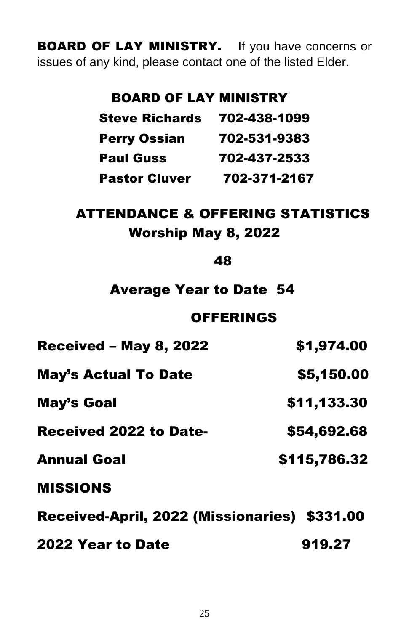**BOARD OF LAY MINISTRY.** If you have concerns or issues of any kind, please contact one of the listed Elder.

### BOARD OF LAY MINISTRY

| <b>Steve Richards</b> | 702-438-1099 |
|-----------------------|--------------|
| <b>Perry Ossian</b>   | 702-531-9383 |
| <b>Paul Guss</b>      | 702-437-2533 |
| <b>Pastor Cluver</b>  | 702-371-2167 |

### ATTENDANCE & OFFERING STATISTICS Worship May 8, 2022

48

### Average Year to Date 54

### **OFFERINGS**

| <b>Received - May 8, 2022</b>                | \$1,974.00   |
|----------------------------------------------|--------------|
| <b>May's Actual To Date</b>                  | \$5,150.00   |
| May's Goal                                   | \$11,133.30  |
| <b>Received 2022 to Date-</b>                | \$54,692.68  |
| <b>Annual Goal</b>                           | \$115,786.32 |
| <b>MISSIONS</b>                              |              |
| Received-April, 2022 (Missionaries) \$331.00 |              |
|                                              |              |